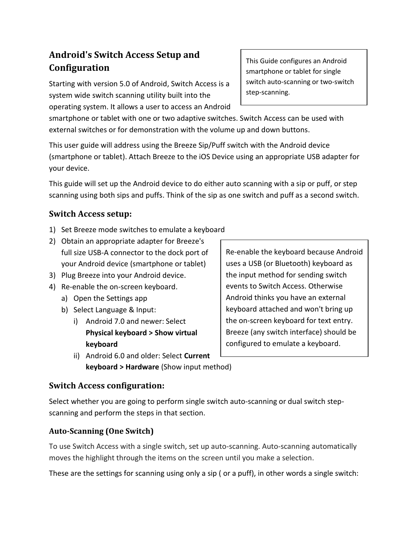# **Android's Switch Access Setup and Configuration**

Starting with version 5.0 of Android, Switch Access is a system wide switch scanning utility built into the operating system. It allows a user to access an Android This Guide configures an Android smartphone or tablet for single switch auto-scanning or two-switch step-scanning.

smartphone or tablet with one or two adaptive switches. Switch Access can be used with external switches or for demonstration with the volume up and down buttons.

This user guide will address using the Breeze Sip/Puff switch with the Android device (smartphone or tablet). Attach Breeze to the iOS Device using an appropriate USB adapter for your device.

This guide will set up the Android device to do either auto scanning with a sip or puff, or step scanning using both sips and puffs. Think of the sip as one switch and puff as a second switch.

## **Switch Access setup:**

- 1) Set Breeze mode switches to emulate a keyboard
- 2) Obtain an appropriate adapter for Breeze's full size USB-A connector to the dock port of your Android device (smartphone or tablet)
- 3) Plug Breeze into your Android device.
- 4) Re-enable the on-screen keyboard.
	- a) Open the Settings app
	- b) Select Language & Input:
		- i) Android 7.0 and newer: Select **Physical keyboard > Show virtual keyboard**
		- ii) Android 6.0 and older: Select **Current keyboard > Hardware** (Show input method)

Re-enable the keyboard because Android uses a USB (or Bluetooth) keyboard as the input method for sending switch events to Switch Access. Otherwise Android thinks you have an external keyboard attached and won't bring up the on-screen keyboard for text entry. Breeze (any switch interface) should be configured to emulate a keyboard.

### **Switch Access configuration:**

Select whether you are going to perform single switch auto-scanning or dual switch stepscanning and perform the steps in that section.

#### **Auto-Scanning (One Switch)**

To use Switch Access with a single switch, set up auto-scanning. Auto-scanning automatically moves the highlight through the items on the screen until you make a selection.

These are the settings for scanning using only a sip ( or a puff), in other words a single switch: